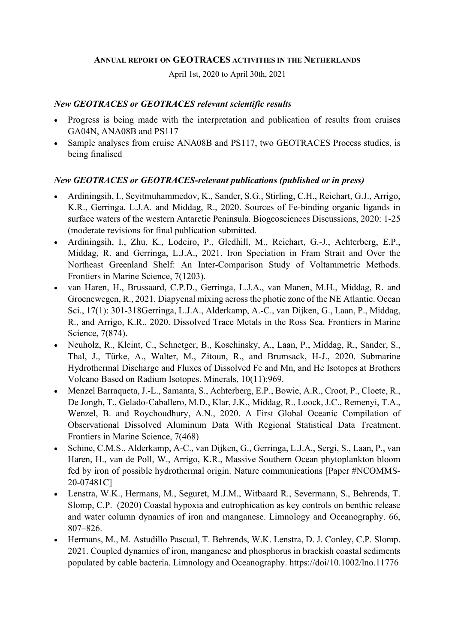#### ANNUAL REPORT ON GEOTRACES ACTIVITIES IN THE NETHERLANDS

April 1st, 2020 to April 30th, 2021

## New GEOTRACES or GEOTRACES relevant scientific results

- Progress is being made with the interpretation and publication of results from cruises GA04N, ANA08B and PS117
- Sample analyses from cruise ANA08B and PS117, two GEOTRACES Process studies, is being finalised

# New GEOTRACES or GEOTRACES-relevant publications (published or in press)

- Ardiningsih, I., Seyitmuhammedov, K., Sander, S.G., Stirling, C.H., Reichart, G.J., Arrigo, K.R., Gerringa, L.J.A. and Middag, R., 2020. Sources of Fe-binding organic ligands in surface waters of the western Antarctic Peninsula. Biogeosciences Discussions, 2020: 1-25 (moderate revisions for final publication submitted.
- Ardiningsih, I., Zhu, K., Lodeiro, P., Gledhill, M., Reichart, G.-J., Achterberg, E.P., Middag, R. and Gerringa, L.J.A., 2021. Iron Speciation in Fram Strait and Over the Northeast Greenland Shelf: An Inter-Comparison Study of Voltammetric Methods. Frontiers in Marine Science, 7(1203).
- van Haren, H., Brussaard, C.P.D., Gerringa, L.J.A., van Manen, M.H., Middag, R. and Groenewegen, R., 2021. Diapycnal mixing across the photic zone of the NE Atlantic. Ocean Sci., 17(1): 301-318Gerringa, L.J.A., Alderkamp, A.-C., van Dijken, G., Laan, P., Middag, R., and Arrigo, K.R., 2020. Dissolved Trace Metals in the Ross Sea. Frontiers in Marine Science, 7(874).
- Neuholz, R., Kleint, C., Schnetger, B., Koschinsky, A., Laan, P., Middag, R., Sander, S., Thal, J., Türke, A., Walter, M., Zitoun, R., and Brumsack, H-J., 2020. Submarine Hydrothermal Discharge and Fluxes of Dissolved Fe and Mn, and He Isotopes at Brothers Volcano Based on Radium Isotopes. Minerals, 10(11):969.
- Menzel Barraqueta, J.-L., Samanta, S., Achterberg, E.P., Bowie, A.R., Croot, P., Cloete, R., De Jongh, T., Gelado-Caballero, M.D., Klar, J.K., Middag, R., Loock, J.C., Remenyi, T.A., Wenzel, B. and Roychoudhury, A.N., 2020. A First Global Oceanic Compilation of Observational Dissolved Aluminum Data With Regional Statistical Data Treatment. Frontiers in Marine Science, 7(468)
- Schine, C.M.S., Alderkamp, A-C., van Dijken, G., Gerringa, L.J.A., Sergi, S., Laan, P., van Haren, H., van de Poll, W., Arrigo, K.R., Massive Southern Ocean phytoplankton bloom fed by iron of possible hydrothermal origin. Nature communications [Paper #NCOMMS-20-07481C]
- Lenstra, W.K., Hermans, M., Seguret, M.J.M., Witbaard R., Severmann, S., Behrends, T. Slomp, C.P. (2020) Coastal hypoxia and eutrophication as key controls on benthic release and water column dynamics of iron and manganese. Limnology and Oceanography. 66, 807–826.
- Hermans, M., M. Astudillo Pascual, T. Behrends, W.K. Lenstra, D. J. Conley, C.P. Slomp. 2021. Coupled dynamics of iron, manganese and phosphorus in brackish coastal sediments populated by cable bacteria. Limnology and Oceanography. https://doi/10.1002/lno.11776